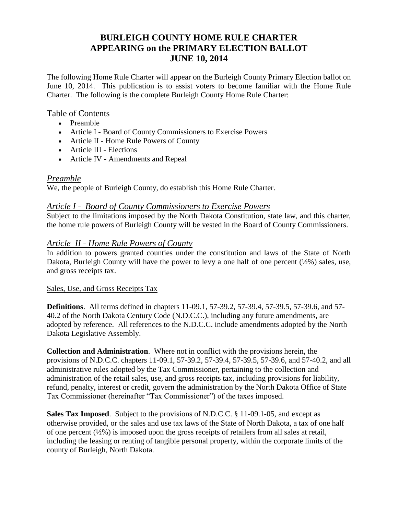# **BURLEIGH COUNTY HOME RULE CHARTER APPEARING on the PRIMARY ELECTION BALLOT JUNE 10, 2014**

The following Home Rule Charter will appear on the Burleigh County Primary Election ballot on June 10, 2014. This publication is to assist voters to become familiar with the Home Rule Charter. The following is the complete Burleigh County Home Rule Charter:

#### Table of Contents

- [Preamble](http://www.casscountygov.com/departments/Commission/homerule_charter.htm#Preamble#Preamble)
- Article I [Board of County Commissioners to Exercise Powers](http://www.casscountygov.com/departments/Commission/homerule_charter.htm#Article1#Article1)
- Article II [Home Rule Powers of County](http://www.casscountygov.com/departments/Commission/homerule_charter.htm#Article2#Article2)
- [Article III](http://www.casscountygov.com/departments/Commission/homerule_charter.htm#Article6#Article6) Elections
- Article IV Amendments and Repeal

### *Preamble*

We, the people of Burleigh County, do establish this Home Rule Charter.

#### *Article I - Board of County Commissioners to Exercise Powers*

Subject to the limitations imposed by the North Dakota Constitution, state law, and this charter, the home rule powers of Burleigh County will be vested in the Board of County Commissioners.

### *Article II - Home Rule Powers of County*

In addition to powers granted counties under the constitution and laws of the State of North Dakota, Burleigh County will have the power to levy a one half of one percent  $(\frac{1}{2})$  sales, use, and gross receipts tax.

#### Sales, Use, and Gross Receipts Tax

**Definitions**. All terms defined in chapters 11-09.1, 57-39.2, 57-39.4, 57-39.5, 57-39.6, and 57- 40.2 of the North Dakota Century Code (N.D.C.C.), including any future amendments, are adopted by reference. All references to the N.D.C.C. include amendments adopted by the North Dakota Legislative Assembly.

**Collection and Administration**. Where not in conflict with the provisions herein, the provisions of N.D.C.C. chapters 11-09.1, 57-39.2, 57-39.4, 57-39.5, 57-39.6, and 57-40.2, and all administrative rules adopted by the Tax Commissioner, pertaining to the collection and administration of the retail sales, use, and gross receipts tax, including provisions for liability, refund, penalty, interest or credit, govern the administration by the North Dakota Office of State Tax Commissioner (hereinafter "Tax Commissioner") of the taxes imposed.

**Sales Tax Imposed**. Subject to the provisions of N.D.C.C. § 11-09.1-05, and except as otherwise provided, or the sales and use tax laws of the State of North Dakota, a tax of one half of one percent (½%) is imposed upon the gross receipts of retailers from all sales at retail, including the leasing or renting of tangible personal property, within the corporate limits of the county of Burleigh, North Dakota.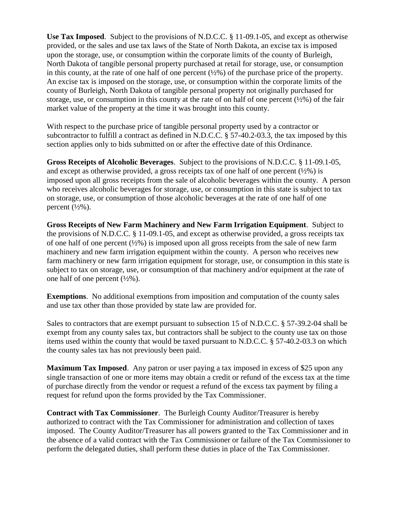**Use Tax Imposed**. Subject to the provisions of N.D.C.C. § 11-09.1-05, and except as otherwise provided, or the sales and use tax laws of the State of North Dakota, an excise tax is imposed upon the storage, use, or consumption within the corporate limits of the county of Burleigh, North Dakota of tangible personal property purchased at retail for storage, use, or consumption in this county, at the rate of one half of one percent  $(\frac{1}{2}\%)$  of the purchase price of the property. An excise tax is imposed on the storage, use, or consumption within the corporate limits of the county of Burleigh, North Dakota of tangible personal property not originally purchased for storage, use, or consumption in this county at the rate of on half of one percent  $(\frac{1}{2}\%)$  of the fair market value of the property at the time it was brought into this county.

With respect to the purchase price of tangible personal property used by a contractor or subcontractor to fulfill a contract as defined in N.D.C.C. § 57-40.2-03.3, the tax imposed by this section applies only to bids submitted on or after the effective date of this Ordinance.

**Gross Receipts of Alcoholic Beverages**. Subject to the provisions of N.D.C.C. § 11-09.1-05, and except as otherwise provided, a gross receipts tax of one half of one percent  $(\frac{1}{2}\%)$  is imposed upon all gross receipts from the sale of alcoholic beverages within the county. A person who receives alcoholic beverages for storage, use, or consumption in this state is subject to tax on storage, use, or consumption of those alcoholic beverages at the rate of one half of one percent  $(\frac{1}{2}\%)$ .

**Gross Receipts of New Farm Machinery and New Farm Irrigation Equipment**. Subject to the provisions of N.D.C.C. § 11-09.1-05, and except as otherwise provided, a gross receipts tax of one half of one percent (½%) is imposed upon all gross receipts from the sale of new farm machinery and new farm irrigation equipment within the county. A person who receives new farm machinery or new farm irrigation equipment for storage, use, or consumption in this state is subject to tax on storage, use, or consumption of that machinery and/or equipment at the rate of one half of one percent  $(\frac{1}{2}\%)$ .

**Exemptions**. No additional exemptions from imposition and computation of the county sales and use tax other than those provided by state law are provided for.

Sales to contractors that are exempt pursuant to subsection 15 of N.D.C.C. § 57-39.2-04 shall be exempt from any county sales tax, but contractors shall be subject to the county use tax on those items used within the county that would be taxed pursuant to N.D.C.C. § 57-40.2-03.3 on which the county sales tax has not previously been paid.

**Maximum Tax Imposed**. Any patron or user paying a tax imposed in excess of \$25 upon any single transaction of one or more items may obtain a credit or refund of the excess tax at the time of purchase directly from the vendor or request a refund of the excess tax payment by filing a request for refund upon the forms provided by the Tax Commissioner.

**Contract with Tax Commissioner**. The Burleigh County Auditor/Treasurer is hereby authorized to contract with the Tax Commissioner for administration and collection of taxes imposed. The County Auditor/Treasurer has all powers granted to the Tax Commissioner and in the absence of a valid contract with the Tax Commissioner or failure of the Tax Commissioner to perform the delegated duties, shall perform these duties in place of the Tax Commissioner.